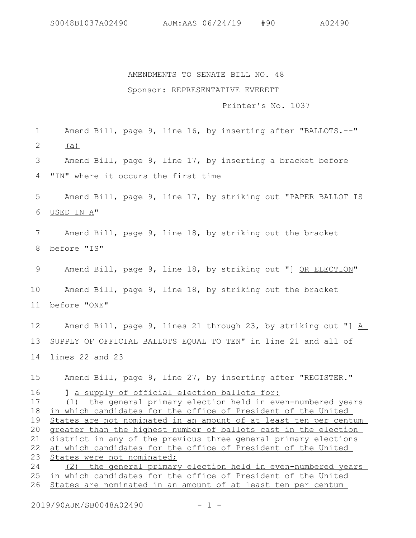## AMENDMENTS TO SENATE BILL NO. 48 Sponsor: REPRESENTATIVE EVERETT

## Printer's No. 1037

Amend Bill, page 9, line 16, by inserting after "BALLOTS.--"  $(a)$ Amend Bill, page 9, line 17, by inserting a bracket before "IN" where it occurs the first time Amend Bill, page 9, line 17, by striking out "PAPER BALLOT IS USED IN A" Amend Bill, page 9, line 18, by striking out the bracket before "IS" Amend Bill, page 9, line 18, by striking out "] OR ELECTION" Amend Bill, page 9, line 18, by striking out the bracket before "ONE" Amend Bill, page 9, lines 21 through 23, by striking out "] A SUPPLY OF OFFICIAL BALLOTS EQUAL TO TEN" in line 21 and all of lines 22 and 23 Amend Bill, page 9, line 27, by inserting after "REGISTER." **]** a supply of official election ballots for: (1) the general primary election held in even-numbered years in which candidates for the office of President of the United States are not nominated in an amount of at least ten per centum greater than the highest number of ballots cast in the election district in any of the previous three general primary elections at which candidates for the office of President of the United States were not nominated; (2) the general primary election held in even-numbered years in which candidates for the office of President of the United States are nominated in an amount of at least ten per centum 1 2 3 4 5 6 7 8 9 10 11 12 13 14 15 16 17 18 19 20 21 22 23 24 25 26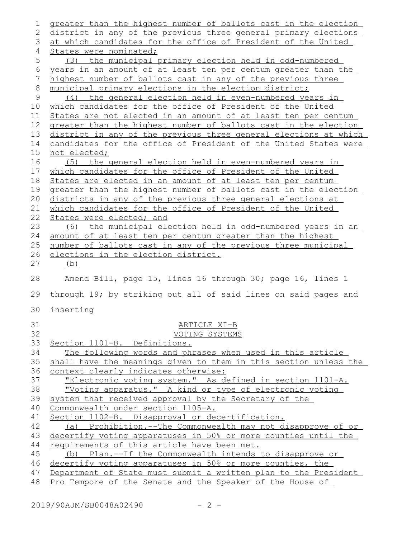| 1            | greater than the highest number of ballots cast in the election  |
|--------------|------------------------------------------------------------------|
| 2            | district in any of the previous three general primary elections  |
| 3            | at which candidates for the office of President of the United    |
| 4            | States were nominated;                                           |
| 5            | (3) the municipal primary election held in odd-numbered          |
| 6            | years in an amount of at least ten per centum greater than the   |
| 7            | highest number of ballots cast in any of the previous three      |
| 8            | municipal primary elections in the election district;            |
| $\mathsf{S}$ | (4) the general election held in even-numbered years in          |
| 10           | which candidates for the office of President of the United       |
| 11           | States are not elected in an amount of at least ten per centum   |
| 12           | greater than the highest number of ballots cast in the election  |
| 13           | district in any of the previous three general elections at which |
| 14           | candidates for the office of President of the United States were |
| 15           | not elected;                                                     |
| 16           | (5) the general election held in even-numbered years in          |
| 17           | which candidates for the office of President of the United       |
| 18           | States are elected in an amount of at least ten per centum       |
| 19           | greater than the highest number of ballots cast in the election  |
| 20           | districts in any of the previous three general elections at      |
| 21           | which candidates for the office of President of the United       |
| 22           | States were elected; and                                         |
| 23           | (6) the municipal election held in odd-numbered years in an      |
| 24           | amount of at least ten per centum greater than the highest       |
| 25           | number of ballots cast in any of the previous three municipal    |
| 26           | elections in the election district.                              |
| 27           | (b)                                                              |
| 28           | Amend Bill, page 15, lines 16 through 30; page 16, lines 1       |
| 29           | through 19; by striking out all of said lines on said pages and  |
| 30           | inserting                                                        |
| 31           | ARTICLE XI-B                                                     |
| 32           | VOTING SYSTEMS                                                   |
| 33           | Section 1101-B. Definitions.                                     |
| 34           | The following words and phrases when used in this article        |
| 35           | shall have the meanings given to them in this section unless the |
| 36           | context clearly indicates otherwise:                             |
| 37           | "Electronic voting system." As defined in section 1101-A.        |
| 38           | "Voting apparatus." A kind or type of electronic voting          |
| 39           | system that received approval by the Secretary of the            |
| 40           | Commonwealth under section 1105-A.                               |
| 41           | Section 1102-B. Disapproval or decertification.                  |
| 42           | (a) Prohibition.--The Commonwealth may not disapprove of or      |
| 43           | decertify voting apparatuses in 50% or more counties until the   |
| 44           | requirements of this article have been met.                      |
| 45           |                                                                  |
|              | (b) Plan.--If the Commonwealth intends to disapprove or          |
| 46           | decertify voting apparatuses in 50% or more counties, the        |
| 47           | Department of State must submit a written plan to the President  |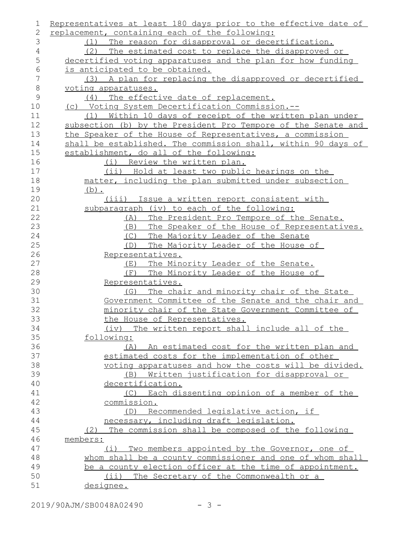| 1             | Representatives at least 180 days prior to the effective date of |
|---------------|------------------------------------------------------------------|
| 2             | replacement, containing each of the following:                   |
| 3             | (1) The reason for disapproval or decertification.               |
| 4             | (2) The estimated cost to replace the disapproved or             |
| 5             | decertified voting apparatuses and the plan for how funding      |
| 6             | is anticipated to be obtained.                                   |
| 7             | (3) A plan for replacing the disapproved or decertified          |
| $8\,$         | voting apparatuses.                                              |
| $\mathcal{G}$ | (4) The effective date of replacement.                           |
| 10            | (c) Voting System Decertification Commission.--                  |
| 11            | (1) Within 10 days of receipt of the written plan under          |
| 12            | subsection (b) by the President Pro Tempore of the Senate and    |
| 13            | the Speaker of the House of Representatives, a commission        |
| 14            | shall be established. The commission shall, within 90 days of    |
| 15            | establishment, do all of the following:                          |
| 16            | (i) Review the written plan.                                     |
| 17            | (ii) Hold at least two public hearings on the                    |
| 18            | matter, including the plan submitted under subsection            |
| 19            | $(b)$ .                                                          |
| 20            | (iii) Issue a written report consistent with                     |
| 21            | subparagraph (iv) to each of the following:                      |
| 22            | The President Pro Tempore of the Senate.<br>(A)                  |
| 23            | The Speaker of the House of Representatives.<br>(B)              |
| 24            | The Majority Leader of the Senate<br>(C)                         |
| 25            | The Majority Leader of the House of<br>(D)                       |
| 26            | Representatives.                                                 |
| 27            | The Minority Leader of the Senate.<br>( E )                      |
| 28            | The Minority Leader of the House of<br>(E)                       |
| 29            | Representatives.                                                 |
| 30            | (G) The chair and minority chair of the State                    |
| 31            | Government Committee of the Senate and the chair and             |
| 32            | minority chair of the State Government Committee of              |
| 33            | the House of Representatives.                                    |
| 34            | (iv) The written report shall include all of the                 |
| 35            | following:                                                       |
| 36            | (A) An estimated cost for the written plan and                   |
| 37            | estimated costs for the implementation of other                  |
| 38            | voting apparatuses and how the costs will be divided.            |
| 39            | Written justification for disapproval or<br>(B)                  |
| 40            | decertification.                                                 |
| 41            | Each dissenting opinion of a member of the<br>(C)                |
| 42            | commission.                                                      |
| 43            | (D) Recommended legislative action, if                           |
| 44            | necessary, including draft legislation.                          |
| 45            | (2) The commission shall be composed of the following            |
| 46            | members:                                                         |
| 47            | $(\perp)$<br>Two members appointed by the Governor, one of       |
| 48            | whom shall be a county commissioner and one of whom shall        |
| 49            | be a county election officer at the time of appointment.         |
| 50            | (ii) The Secretary of the Commonwealth or a                      |
| 51            | designee.                                                        |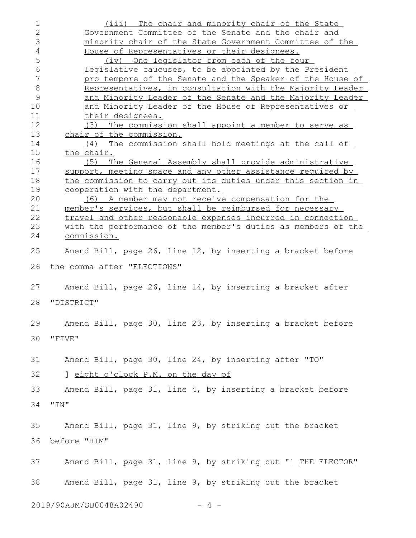| $\mathbf 1$<br>$\overline{2}$ | (iii) The chair and minority chair of the State<br>Government Committee of the Senate and the chair and |
|-------------------------------|---------------------------------------------------------------------------------------------------------|
| 3                             | minority chair of the State Government Committee of the                                                 |
| $\sqrt{4}$                    | House of Representatives or their designees.                                                            |
| 5                             | (iv) One legislator from each of the four                                                               |
| 6                             | legislative caucuses, to be appointed by the President                                                  |
| 7                             | pro tempore of the Senate and the Speaker of the House of                                               |
| 8                             | Representatives, in consultation with the Majority Leader                                               |
| 9                             |                                                                                                         |
|                               | and Minority Leader of the Senate and the Majority Leader                                               |
| 10                            | and Minority Leader of the House of Representatives or                                                  |
| 11                            | their designees.                                                                                        |
| 12                            | (3) The commission shall appoint a member to serve as                                                   |
| 13                            | chair of the commission.                                                                                |
| 14                            | (4) The commission shall hold meetings at the call of                                                   |
| 15                            | the chair.                                                                                              |
| 16                            | (5) The General Assembly shall provide administrative                                                   |
| 17                            | support, meeting space and any other assistance required by                                             |
| 18                            | the commission to carry out its duties under this section in                                            |
| 19                            | cooperation with the department.                                                                        |
| 20                            | (6) A member may not receive compensation for the                                                       |
| 21                            | member's services, but shall be reimbursed for necessary                                                |
| 22                            | travel and other reasonable expenses incurred in connection                                             |
|                               |                                                                                                         |
| 23                            | with the performance of the member's duties as members of the                                           |
| 24                            | commission.                                                                                             |
| 25                            | Amend Bill, page 26, line 12, by inserting a bracket before                                             |
| 26                            | the comma after "ELECTIONS"                                                                             |
| 27                            | Amend Bill, page 26, line 14, by inserting a bracket after                                              |
|                               |                                                                                                         |
| 28                            | "DISTRICT"                                                                                              |
|                               |                                                                                                         |
| 29                            | Amend Bill, page 30, line 23, by inserting a bracket before                                             |
|                               |                                                                                                         |
| 30                            | "FIVE"                                                                                                  |
|                               |                                                                                                         |
| 31                            | Amend Bill, page 30, line 24, by inserting after "TO"                                                   |
| 32                            | 1 eight o'clock P.M. on the day of                                                                      |
|                               |                                                                                                         |
| 33                            | Amend Bill, page 31, line 4, by inserting a bracket before                                              |
| 34                            | "IN"                                                                                                    |
|                               |                                                                                                         |
|                               |                                                                                                         |
| 35                            | Amend Bill, page 31, line 9, by striking out the bracket                                                |
| 36                            | before "HIM"                                                                                            |
|                               |                                                                                                         |
|                               |                                                                                                         |
| 37                            | Amend Bill, page 31, line 9, by striking out "] THE ELECTOR"                                            |
|                               |                                                                                                         |
| 38                            | Amend Bill, page 31, line 9, by striking out the bracket                                                |
|                               |                                                                                                         |
|                               |                                                                                                         |
|                               | 2019/90AJM/SB0048A02490<br>4 –                                                                          |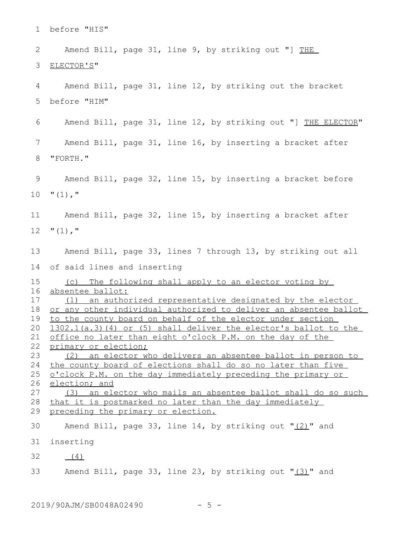before "HIS" Amend Bill, page 31, line 9, by striking out "] THE ELECTOR'S" Amend Bill, page 31, line 12, by striking out the bracket before "HIM" Amend Bill, page 31, line 12, by striking out "] THE ELECTOR" Amend Bill, page 31, line 16, by inserting a bracket after "FORTH." Amend Bill, page 32, line 15, by inserting a bracket before  $"$  $(1)$ ,  $"$ Amend Bill, page 32, line 15, by inserting a bracket after  $" (1)$ ,  $"$ Amend Bill, page 33, lines 7 through 13, by striking out all of said lines and inserting (c) The following shall apply to an elector voting by absentee ballot: (1) an authorized representative designated by the elector or any other individual authorized to deliver an absentee ballot to the county board on behalf of the elector under section 1302.1(a.3)(4) or (5) shall deliver the elector's ballot to the office no later than eight o'clock P.M. on the day of the primary or election; (2) an elector who delivers an absentee ballot in person to the county board of elections shall do so no later than five o'clock P.M. on the day immediately preceding the primary or election; and (3) an elector who mails an absentee ballot shall do so such that it is postmarked no later than the day immediately preceding the primary or election. Amend Bill, page 33, line 14, by striking out " $(2)$ " and inserting (4) Amend Bill, page 33, line 23, by striking out "(3)" and 1 2 3 4 5 6 7 8 9 10 11 12 13 14 15 16 17 18 19 20 21 22 23 24 25 26 27 28 29 30 31 32 33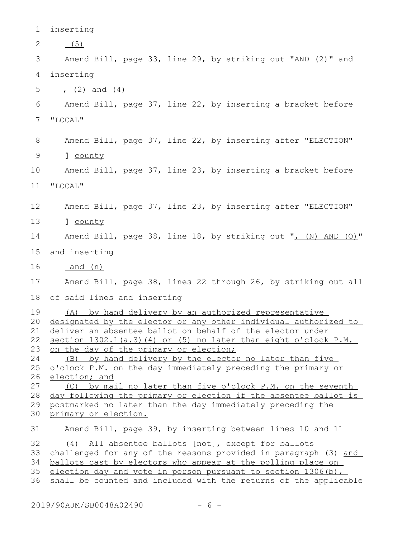inserting  $(5)$ Amend Bill, page 33, line 29, by striking out "AND (2)" and inserting  $(2)$  and  $(4)$ Amend Bill, page 37, line 22, by inserting a bracket before "LOCAL" Amend Bill, page 37, line 22, by inserting after "ELECTION" **]** county Amend Bill, page 37, line 23, by inserting a bracket before "LOCAL" Amend Bill, page 37, line 23, by inserting after "ELECTION" **]** county Amend Bill, page 38, line 18, by striking out ", (N) AND (O)" and inserting and (n) Amend Bill, page 38, lines 22 through 26, by striking out all of said lines and inserting (A) by hand delivery by an authorized representative designated by the elector or any other individual authorized to deliver an absentee ballot on behalf of the elector under section 1302.1(a.3)(4) or (5) no later than eight o'clock P.M. on the day of the primary or election; (B) by hand delivery by the elector no later than five o'clock P.M. on the day immediately preceding the primary or election; and (C) by mail no later than five o'clock P.M. on the seventh day following the primary or election if the absentee ballot is postmarked no later than the day immediately preceding the primary or election. Amend Bill, page 39, by inserting between lines 10 and 11 (4) All absentee ballots [not], except for ballots challenged for any of the reasons provided in paragraph (3) and ballots cast by electors who appear at the polling place on election day and vote in person pursuant to section 1306(b), shall be counted and included with the returns of the applicable 1 2 3 4 5 6 7 8 9 10 11 12 13 14 15 16 17 18 19 20 21 22 23 24 25 26 27 28 29 30 31 32 33 34 35 36